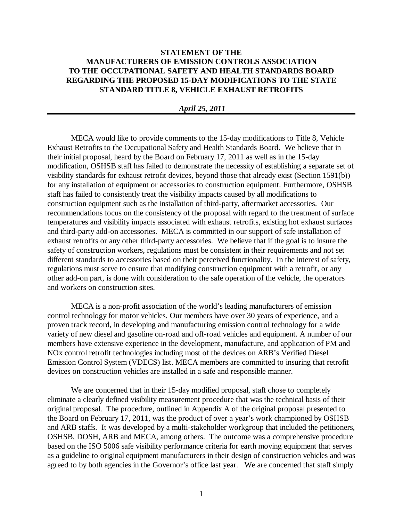## **STATEMENT OF THE MANUFACTURERS OF EMISSION CONTROLS ASSOCIATION TO THE OCCUPATIONAL SAFETY AND HEALTH STANDARDS BOARD REGARDING THE PROPOSED 15-DAY MODIFICATIONS TO THE STATE STANDARD TITLE 8, VEHICLE EXHAUST RETROFITS**

## *April 25, 2011*

MECA would like to provide comments to the 15-day modifications to Title 8, Vehicle Exhaust Retrofits to the Occupational Safety and Health Standards Board. We believe that in their initial proposal, heard by the Board on February 17, 2011 as well as in the 15-day modification, OSHSB staff has failed to demonstrate the necessity of establishing a separate set of visibility standards for exhaust retrofit devices, beyond those that already exist (Section 1591(b)) for any installation of equipment or accessories to construction equipment. Furthermore, OSHSB staff has failed to consistently treat the visibility impacts caused by all modifications to construction equipment such as the installation of third-party, aftermarket accessories. Our recommendations focus on the consistency of the proposal with regard to the treatment of surface temperatures and visibility impacts associated with exhaust retrofits, existing hot exhaust surfaces and third-party add-on accessories. MECA is committed in our support of safe installation of exhaust retrofits or any other third-party accessories. We believe that if the goal is to insure the safety of construction workers, regulations must be consistent in their requirements and not set different standards to accessories based on their perceived functionality. In the interest of safety, regulations must serve to ensure that modifying construction equipment with a retrofit, or any other add-on part, is done with consideration to the safe operation of the vehicle, the operators and workers on construction sites.

MECA is a non-profit association of the world's leading manufacturers of emission control technology for motor vehicles. Our members have over 30 years of experience, and a proven track record, in developing and manufacturing emission control technology for a wide variety of new diesel and gasoline on-road and off-road vehicles and equipment. A number of our members have extensive experience in the development, manufacture, and application of PM and NOx control retrofit technologies including most of the devices on ARB's Verified Diesel Emission Control System (VDECS) list. MECA members are committed to insuring that retrofit devices on construction vehicles are installed in a safe and responsible manner.

We are concerned that in their 15-day modified proposal, staff chose to completely eliminate a clearly defined visibility measurement procedure that was the technical basis of their original proposal. The procedure, outlined in Appendix A of the original proposal presented to the Board on February 17, 2011, was the product of over a year's work championed by OSHSB and ARB staffs. It was developed by a multi-stakeholder workgroup that included the petitioners, OSHSB, DOSH, ARB and MECA, among others. The outcome was a comprehensive procedure based on the ISO 5006 safe visibility performance criteria for earth moving equipment that serves as a guideline to original equipment manufacturers in their design of construction vehicles and was agreed to by both agencies in the Governor's office last year. We are concerned that staff simply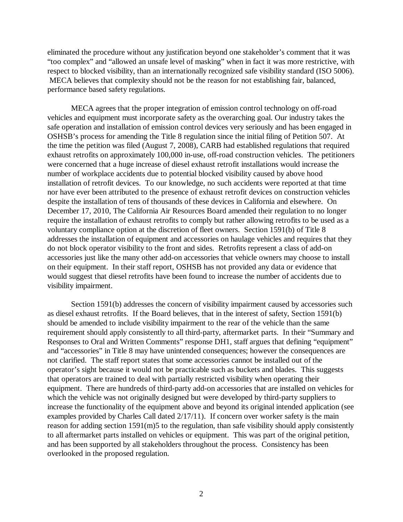eliminated the procedure without any justification beyond one stakeholder's comment that it was "too complex" and "allowed an unsafe level of masking" when in fact it was more restrictive, with respect to blocked visibility, than an internationally recognized safe visibility standard (ISO 5006). MECA believes that complexity should not be the reason for not establishing fair, balanced, performance based safety regulations.

MECA agrees that the proper integration of emission control technology on off-road vehicles and equipment must incorporate safety as the overarching goal. Our industry takes the safe operation and installation of emission control devices very seriously and has been engaged in OSHSB's process for amending the Title 8 regulation since the initial filing of Petition 507. At the time the petition was filed (August 7, 2008), CARB had established regulations that required exhaust retrofits on approximately 100,000 in-use, off-road construction vehicles. The petitioners were concerned that a huge increase of diesel exhaust retrofit installations would increase the number of workplace accidents due to potential blocked visibility caused by above hood installation of retrofit devices. To our knowledge, no such accidents were reported at that time nor have ever been attributed to the presence of exhaust retrofit devices on construction vehicles despite the installation of tens of thousands of these devices in California and elsewhere. On December 17, 2010, The California Air Resources Board amended their regulation to no longer require the installation of exhaust retrofits to comply but rather allowing retrofits to be used as a voluntary compliance option at the discretion of fleet owners. Section 1591(b) of Title 8 addresses the installation of equipment and accessories on haulage vehicles and requires that they do not block operator visibility to the front and sides. Retrofits represent a class of add-on accessories just like the many other add-on accessories that vehicle owners may choose to install on their equipment. In their staff report, OSHSB has not provided any data or evidence that would suggest that diesel retrofits have been found to increase the number of accidents due to visibility impairment.

Section 1591(b) addresses the concern of visibility impairment caused by accessories such as diesel exhaust retrofits. If the Board believes, that in the interest of safety, Section 1591(b) should be amended to include visibility impairment to the rear of the vehicle than the same requirement should apply consistently to all third-party, aftermarket parts. In their "Summary and Responses to Oral and Written Comments" response DH1, staff argues that defining "equipment" and "accessories" in Title 8 may have unintended consequences; however the consequences are not clarified. The staff report states that some accessories cannot be installed out of the operator's sight because it would not be practicable such as buckets and blades. This suggests that operators are trained to deal with partially restricted visibility when operating their equipment. There are hundreds of third-party add-on accessories that are installed on vehicles for which the vehicle was not originally designed but were developed by third-party suppliers to increase the functionality of the equipment above and beyond its original intended application (see examples provided by Charles Call dated 2/17/11). If concern over worker safety is the main reason for adding section 1591(m)5 to the regulation, than safe visibility should apply consistently to all aftermarket parts installed on vehicles or equipment. This was part of the original petition, and has been supported by all stakeholders throughout the process. Consistency has been overlooked in the proposed regulation.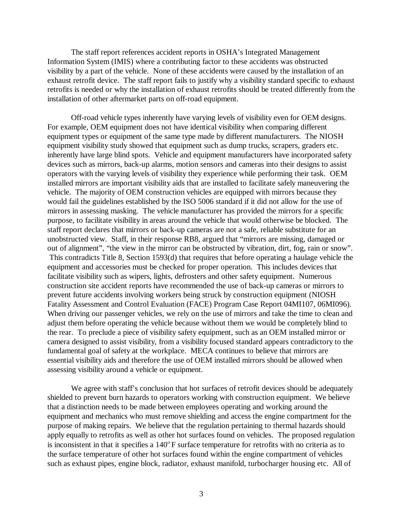The staff report references accident reports in OSHA's Integrated Management Information System (IMIS) where a contributing factor to these accidents was obstructed visibility by a part of the vehicle. None of these accidents were caused by the installation of an exhaust retrofit device. The staff report fails to justify why a visibility standard specific to exhaust retrofits is needed or why the installation of exhaust retrofits should be treated differently from the installation of other aftermarket parts on off-road equipment.

Off-road vehicle types inherently have varying levels of visibility even for OEM designs. For example, OEM equipment does not have identical visibility when comparing different equipment types or equipment of the same type made by different manufacturers. The NIOSH equipment visibility study showed that equipment such as dump trucks, scrapers, graders etc. inherently have large blind spots. Vehicle and equipment manufacturers have incorporated safety devices such as mirrors, back-up alarms, motion sensors and cameras into their designs to assist operators with the varying levels of visibility they experience while performing their task. OEM installed mirrors are important visibility aids that are installed to facilitate safely maneuvering the vehicle. The majority of OEM construction vehicles are equipped with mirrors because they would fail the guidelines established by the ISO 5006 standard if it did not allow for the use of mirrors in assessing masking. The vehicle manufacturer has provided the mirrors for a specific purpose, to facilitate visibility in areas around the vehicle that would otherwise be blocked. The staff report declares that mirrors or back-up cameras are not a safe, reliable substitute for an unobstructed view. Staff, in their response RB8, argued that "mirrors are missing, damaged or out of alignment", "the view in the mirror can be obstructed by vibration, dirt, fog, rain or snow". This contradicts Title 8, Section 1593(d) that requires that before operating a haulage vehicle the equipment and accessories must be checked for proper operation. This includes devices that facilitate visibility such as wipers, lights, defrosters and other safety equipment. Numerous construction site accident reports have recommended the use of back-up cameras or mirrors to prevent future accidents involving workers being struck by construction equipment (NIOSH Fatality Assessment and Control Evaluation (FACE) Program Case Report 04MI107, 06MI096). When driving our passenger vehicles, we rely on the use of mirrors and take the time to clean and adjust them before operating the vehicle because without them we would be completely blind to the rear. To preclude a piece of visibility safety equipment, such as an OEM installed mirror or camera designed to assist visibility, from a visibility focused standard appears contradictory to the fundamental goal of safety at the workplace. MECA continues to believe that mirrors are essential visibility aids and therefore the use of OEM installed mirrors should be allowed when assessing visibility around a vehicle or equipment.

We agree with staff's conclusion that hot surfaces of retrofit devices should be adequately shielded to prevent burn hazards to operators working with construction equipment. We believe that a distinction needs to be made between employees operating and working around the equipment and mechanics who must remove shielding and access the engine compartment for the purpose of making repairs. We believe that the regulation pertaining to thermal hazards should apply equally to retrofits as well as other hot surfaces found on vehicles. The proposed regulation is inconsistent in that it specifies a  $140^{\circ}$  F surface temperature for retrofits with no criteria as to the surface temperature of other hot surfaces found within the engine compartment of vehicles such as exhaust pipes, engine block, radiator, exhaust manifold, turbocharger housing etc. All of